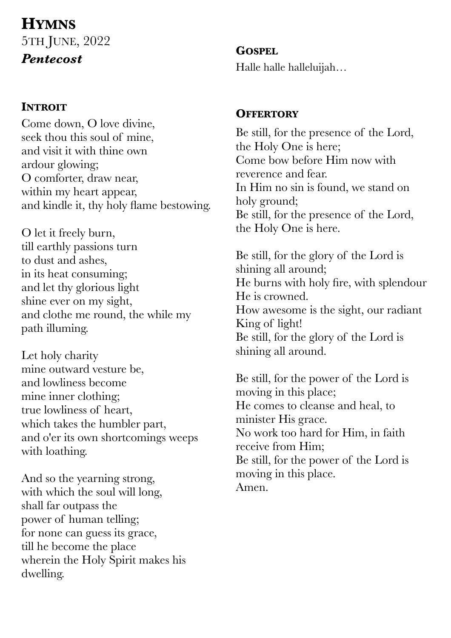# **HYMNS** 5TH JUNE, 2022 *Pentecost*

## **INTROIT**

Come down, O love divine, seek thou this soul of mine, and visit it with thine own ardour glowing; O comforter, draw near, within my heart appear, and kindle it, thy holy flame bestowing.

O let it freely burn, till earthly passions turn to dust and ashes, in its heat consuming; and let thy glorious light shine ever on my sight, and clothe me round, the while my path illuming.

Let holy charity mine outward vesture be, and lowliness become mine inner clothing; true lowliness of heart, which takes the humbler part, and o'er its own shortcomings weeps with loathing.

And so the yearning strong, with which the soul will long, shall far outpass the power of human telling; for none can guess its grace, till he become the place wherein the Holy Spirit makes his dwelling.

**GOSPEL** Halle halle halleluijah…

## **OFFERTORY**

Be still, for the presence of the Lord, the Holy One is here; Come bow before Him now with reverence and fear. In Him no sin is found, we stand on holy ground; Be still, for the presence of the Lord, the Holy One is here.

Be still, for the glory of the Lord is shining all around; He burns with holy fire, with splendour He is crowned. How awesome is the sight, our radiant King of light! Be still, for the glory of the Lord is shining all around.

Be still, for the power of the Lord is moving in this place; He comes to cleanse and heal, to minister His grace. No work too hard for Him, in faith receive from Him; Be still, for the power of the Lord is moving in this place. Amen.